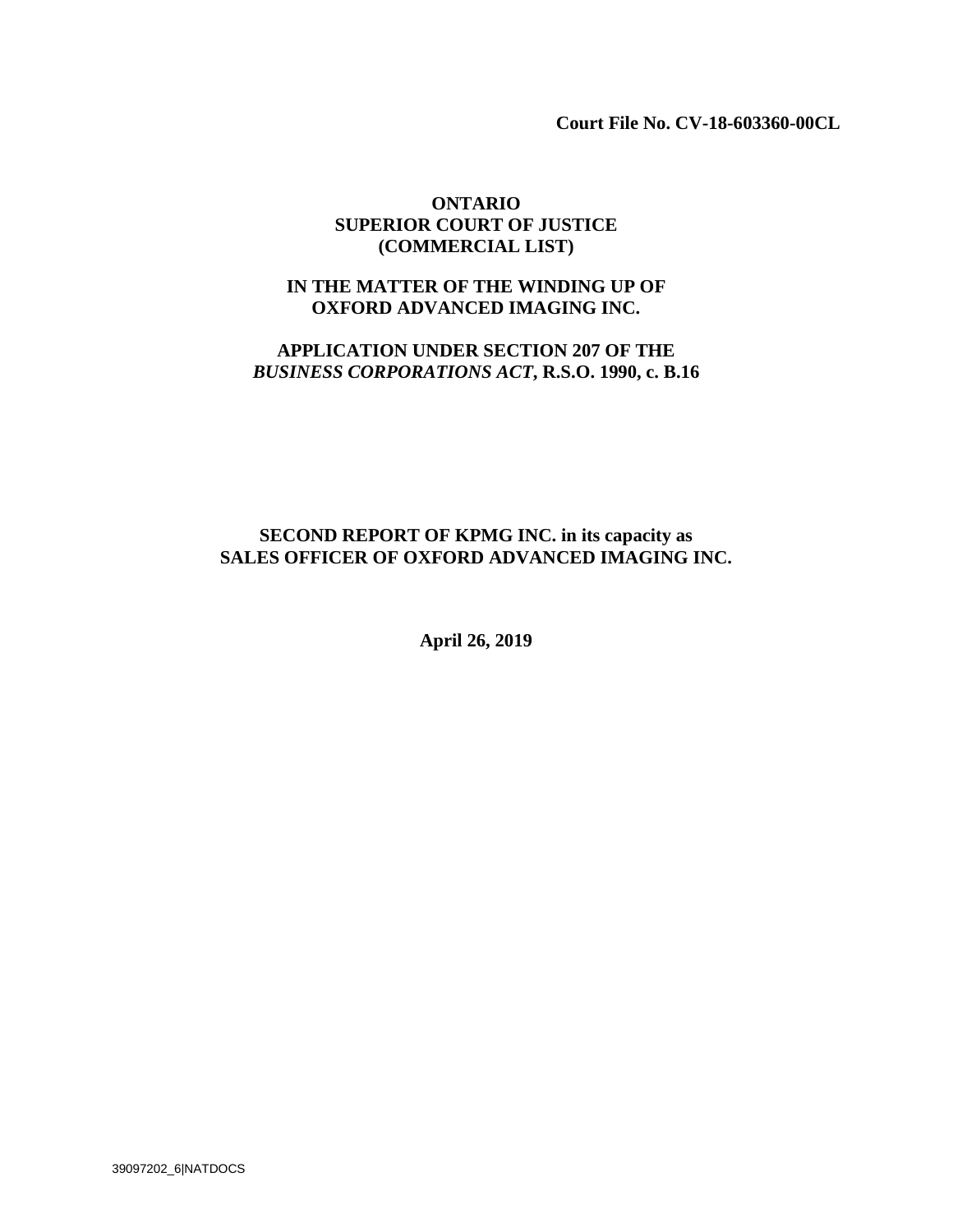**Court File No. CV-18-603360-00CL** 

## **ONTARIO SUPERIOR COURT OF JUSTICE (COMMERCIAL LIST)**

## **IN THE MATTER OF THE WINDING UP OF OXFORD ADVANCED IMAGING INC.**

## **APPLICATION UNDER SECTION 207 OF THE** *BUSINESS CORPORATIONS ACT***, R.S.O. 1990, c. B.16**

## **SECOND REPORT OF KPMG INC. in its capacity as SALES OFFICER OF OXFORD ADVANCED IMAGING INC.**

**April 26, 2019**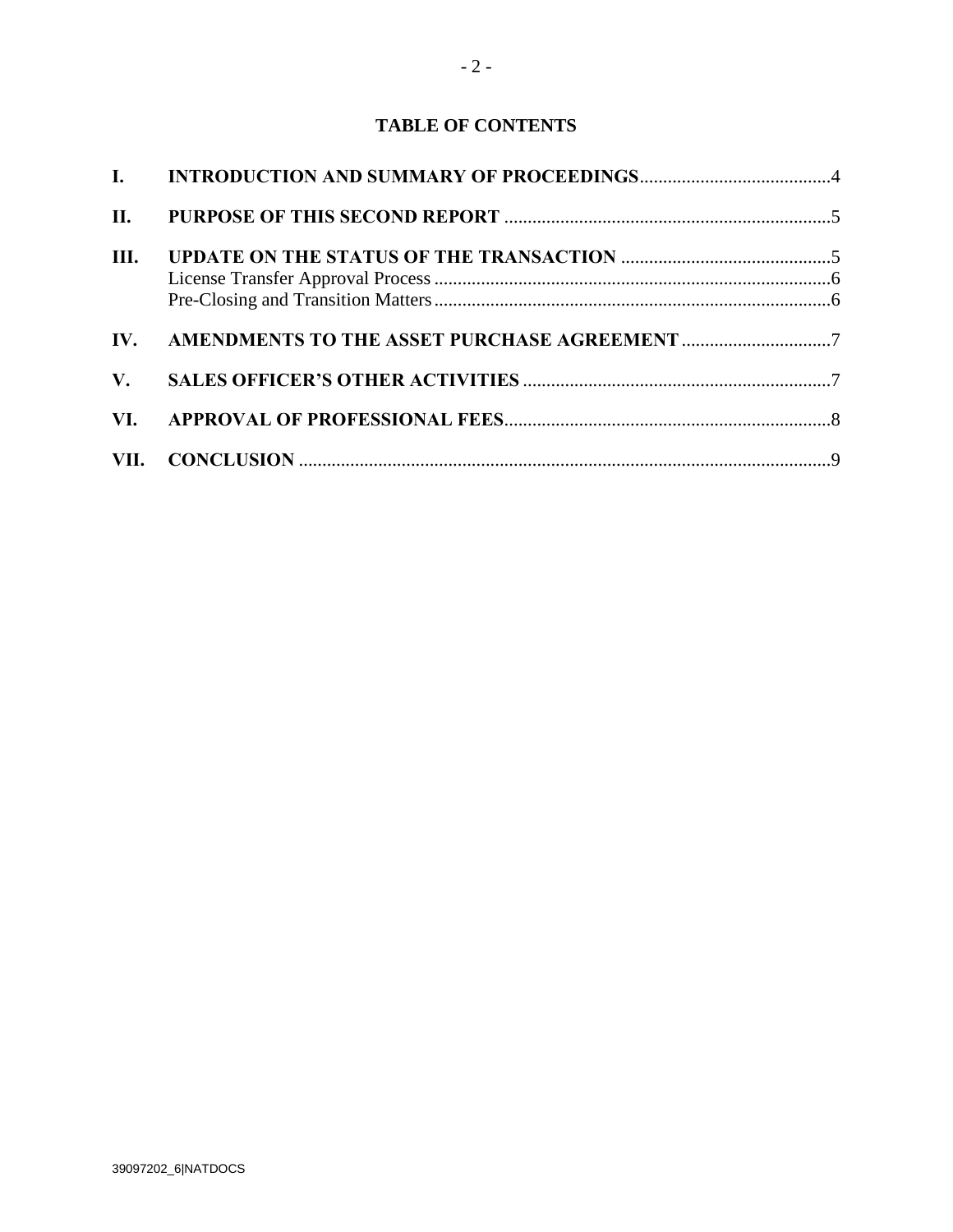# **TABLE OF CONTENTS**

| Ш. |                                                  |  |
|----|--------------------------------------------------|--|
|    |                                                  |  |
|    |                                                  |  |
|    | IV. AMENDMENTS TO THE ASSET PURCHASE AGREEMENT 7 |  |
|    |                                                  |  |
|    |                                                  |  |
|    |                                                  |  |
|    |                                                  |  |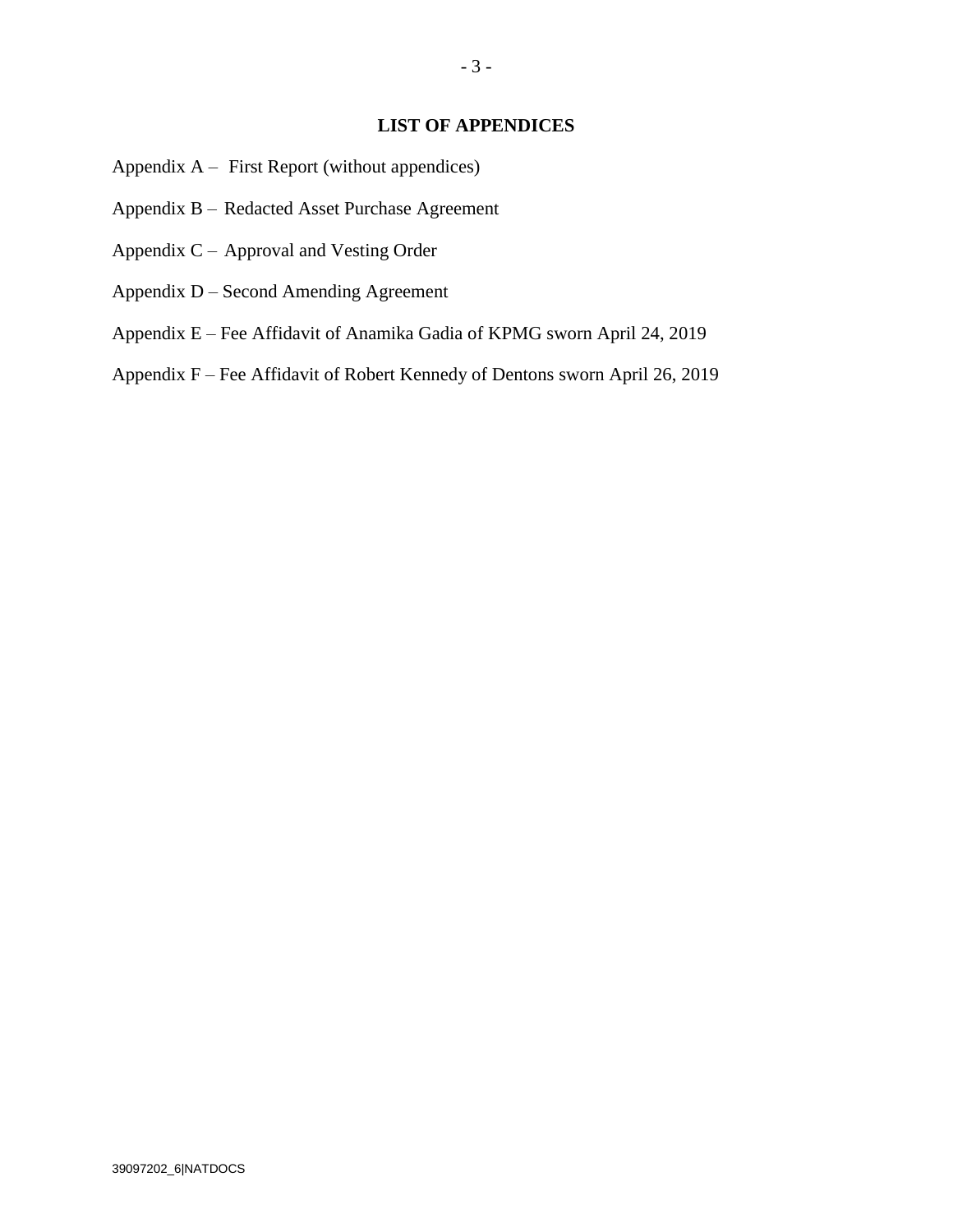### **LIST OF APPENDICES**

- Appendix A First Report (without appendices)
- Appendix B Redacted Asset Purchase Agreement
- Appendix C Approval and Vesting Order
- Appendix D Second Amending Agreement
- Appendix E Fee Affidavit of Anamika Gadia of KPMG sworn April 24, 2019
- Appendix F Fee Affidavit of Robert Kennedy of Dentons sworn April 26, 2019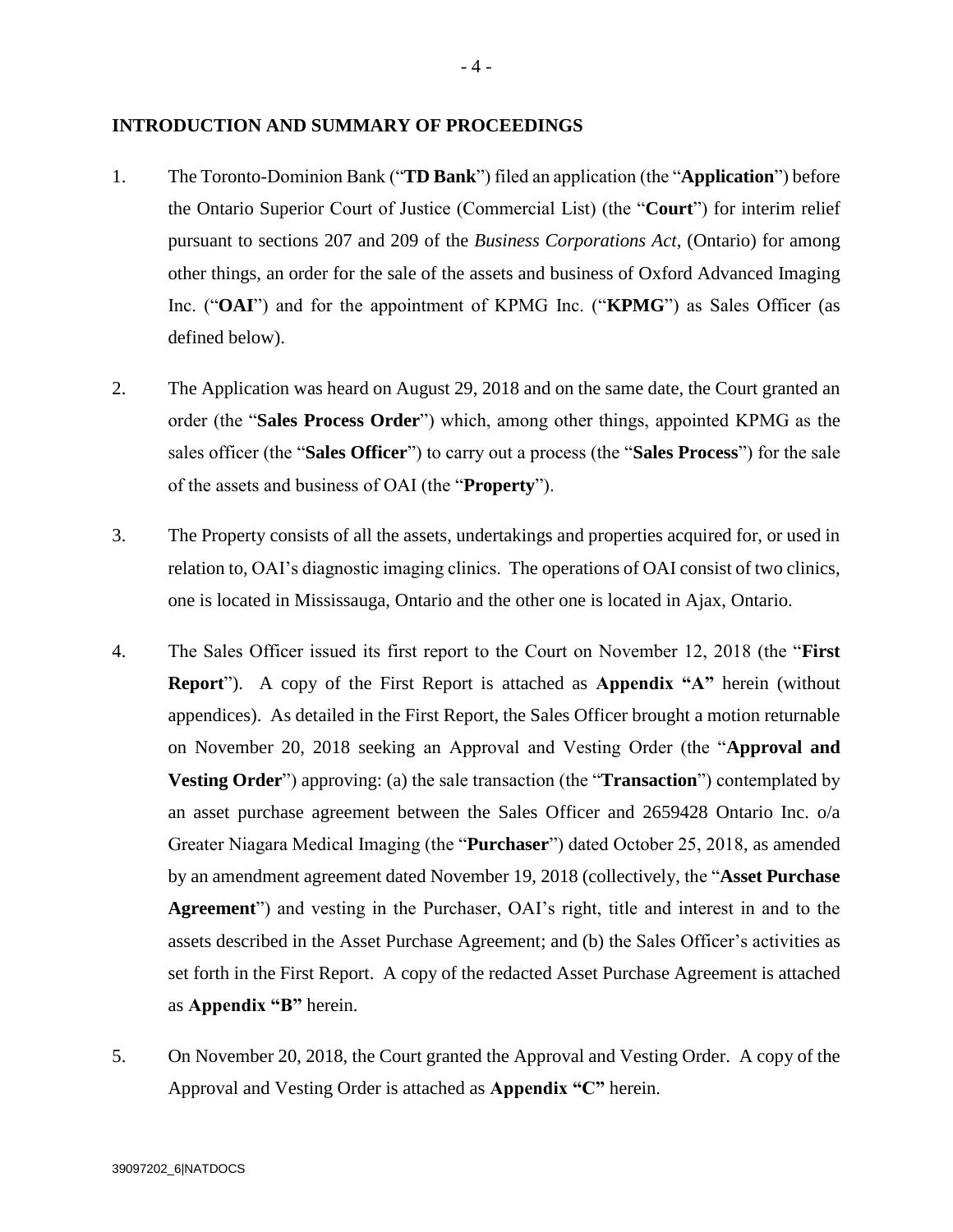#### **INTRODUCTION AND SUMMARY OF PROCEEDINGS**

- 1. The Toronto-Dominion Bank ("**TD Bank**") filed an application (the "**Application**") before the Ontario Superior Court of Justice (Commercial List) (the "**Court**") for interim relief pursuant to sections 207 and 209 of the *Business Corporations Act*, (Ontario) for among other things, an order for the sale of the assets and business of Oxford Advanced Imaging Inc. ("**OAI**") and for the appointment of KPMG Inc. ("**KPMG**") as Sales Officer (as defined below).
- 2. The Application was heard on August 29, 2018 and on the same date, the Court granted an order (the "**Sales Process Order**") which, among other things, appointed KPMG as the sales officer (the "**Sales Officer**") to carry out a process (the "**Sales Process**") for the sale of the assets and business of OAI (the "**Property**").
- 3. The Property consists of all the assets, undertakings and properties acquired for, or used in relation to, OAI's diagnostic imaging clinics. The operations of OAI consist of two clinics, one is located in Mississauga, Ontario and the other one is located in Ajax, Ontario.
- 4. The Sales Officer issued its first report to the Court on November 12, 2018 (the "**First Report**"). A copy of the First Report is attached as **Appendix "A"** herein (without appendices). As detailed in the First Report, the Sales Officer brought a motion returnable on November 20, 2018 seeking an Approval and Vesting Order (the "**Approval and Vesting Order**") approving: (a) the sale transaction (the "**Transaction**") contemplated by an asset purchase agreement between the Sales Officer and 2659428 Ontario Inc. o/a Greater Niagara Medical Imaging (the "**Purchaser**") dated October 25, 2018, as amended by an amendment agreement dated November 19, 2018 (collectively, the "**Asset Purchase Agreement**") and vesting in the Purchaser, OAI's right, title and interest in and to the assets described in the Asset Purchase Agreement; and (b) the Sales Officer's activities as set forth in the First Report. A copy of the redacted Asset Purchase Agreement is attached as **Appendix "B"** herein.
- 5. On November 20, 2018, the Court granted the Approval and Vesting Order. A copy of the Approval and Vesting Order is attached as **Appendix "C"** herein.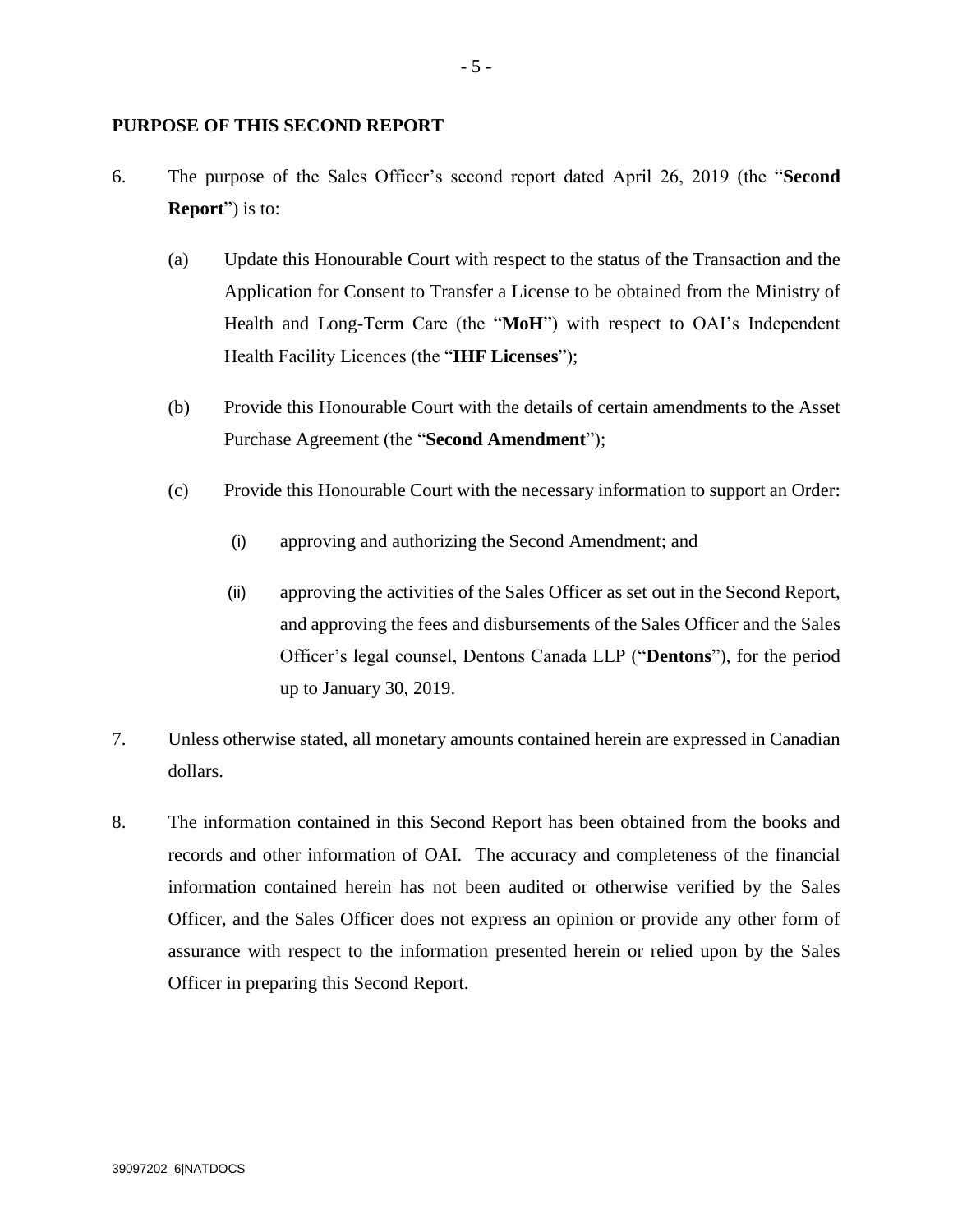### **PURPOSE OF THIS SECOND REPORT**

- 6. The purpose of the Sales Officer's second report dated April 26, 2019 (the "**Second Report**") is to:
	- (a) Update this Honourable Court with respect to the status of the Transaction and the Application for Consent to Transfer a License to be obtained from the Ministry of Health and Long-Term Care (the "**MoH**") with respect to OAI's Independent Health Facility Licences (the "**IHF Licenses**");
	- (b) Provide this Honourable Court with the details of certain amendments to the Asset Purchase Agreement (the "**Second Amendment**");
	- (c) Provide this Honourable Court with the necessary information to support an Order:
		- (i) approving and authorizing the Second Amendment; and
		- (ii) approving the activities of the Sales Officer as set out in the Second Report, and approving the fees and disbursements of the Sales Officer and the Sales Officer's legal counsel, Dentons Canada LLP ("**Dentons**"), for the period up to January 30, 2019.
- 7. Unless otherwise stated, all monetary amounts contained herein are expressed in Canadian dollars.
- 8. The information contained in this Second Report has been obtained from the books and records and other information of OAI. The accuracy and completeness of the financial information contained herein has not been audited or otherwise verified by the Sales Officer, and the Sales Officer does not express an opinion or provide any other form of assurance with respect to the information presented herein or relied upon by the Sales Officer in preparing this Second Report.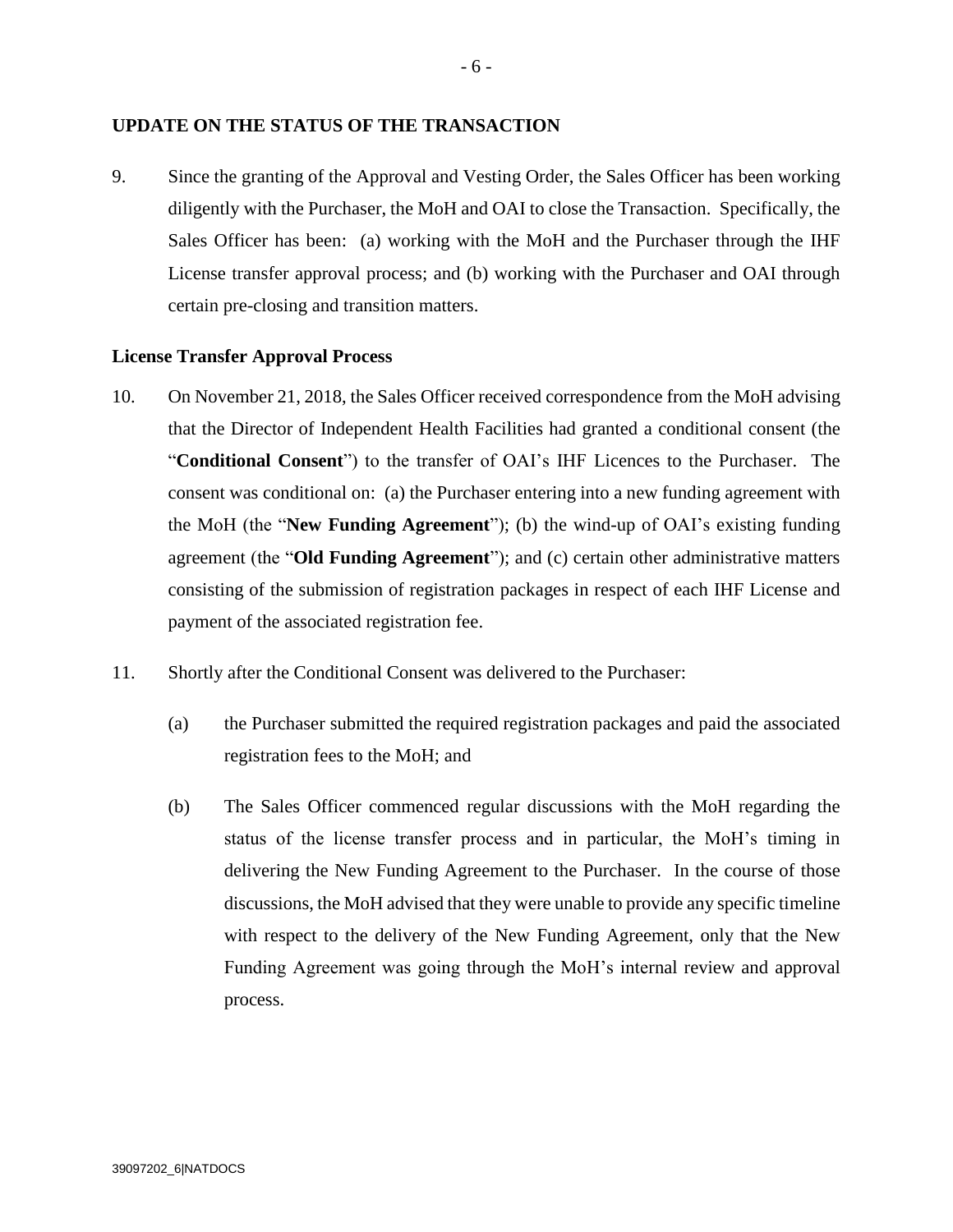#### **UPDATE ON THE STATUS OF THE TRANSACTION**

9. Since the granting of the Approval and Vesting Order, the Sales Officer has been working diligently with the Purchaser, the MoH and OAI to close the Transaction. Specifically, the Sales Officer has been: (a) working with the MoH and the Purchaser through the IHF License transfer approval process; and (b) working with the Purchaser and OAI through certain pre-closing and transition matters.

#### **License Transfer Approval Process**

- 10. On November 21, 2018, the Sales Officer received correspondence from the MoH advising that the Director of Independent Health Facilities had granted a conditional consent (the "**Conditional Consent**") to the transfer of OAI's IHF Licences to the Purchaser. The consent was conditional on: (a) the Purchaser entering into a new funding agreement with the MoH (the "**New Funding Agreement**"); (b) the wind-up of OAI's existing funding agreement (the "**Old Funding Agreement**"); and (c) certain other administrative matters consisting of the submission of registration packages in respect of each IHF License and payment of the associated registration fee.
- 11. Shortly after the Conditional Consent was delivered to the Purchaser:
	- (a) the Purchaser submitted the required registration packages and paid the associated registration fees to the MoH; and
	- (b) The Sales Officer commenced regular discussions with the MoH regarding the status of the license transfer process and in particular, the MoH's timing in delivering the New Funding Agreement to the Purchaser. In the course of those discussions, the MoH advised that they were unable to provide any specific timeline with respect to the delivery of the New Funding Agreement, only that the New Funding Agreement was going through the MoH's internal review and approval process.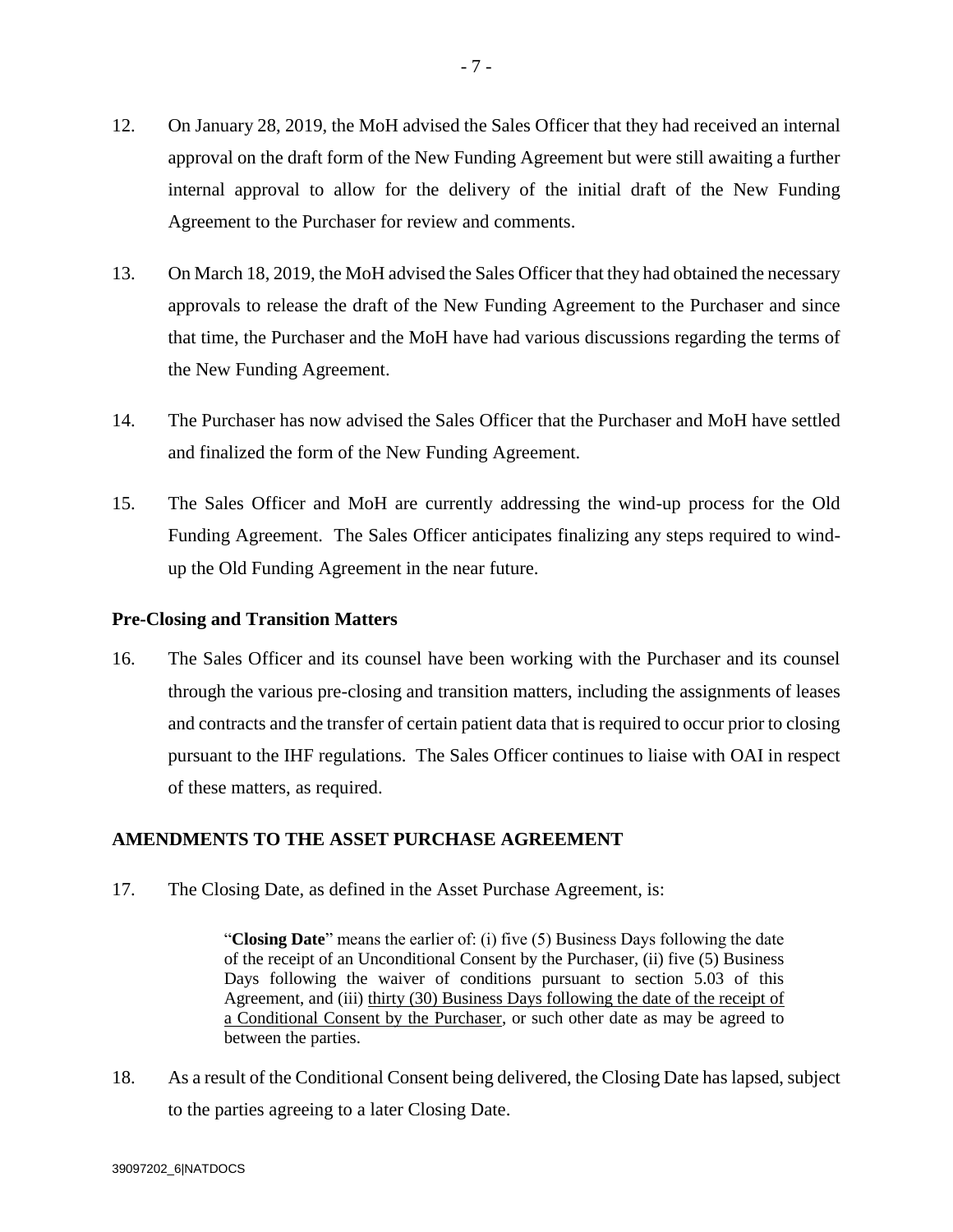- 12. On January 28, 2019, the MoH advised the Sales Officer that they had received an internal approval on the draft form of the New Funding Agreement but were still awaiting a further internal approval to allow for the delivery of the initial draft of the New Funding Agreement to the Purchaser for review and comments.
- 13. On March 18, 2019, the MoH advised the Sales Officer that they had obtained the necessary approvals to release the draft of the New Funding Agreement to the Purchaser and since that time, the Purchaser and the MoH have had various discussions regarding the terms of the New Funding Agreement.
- 14. The Purchaser has now advised the Sales Officer that the Purchaser and MoH have settled and finalized the form of the New Funding Agreement.
- 15. The Sales Officer and MoH are currently addressing the wind-up process for the Old Funding Agreement. The Sales Officer anticipates finalizing any steps required to windup the Old Funding Agreement in the near future.

### **Pre-Closing and Transition Matters**

16. The Sales Officer and its counsel have been working with the Purchaser and its counsel through the various pre-closing and transition matters, including the assignments of leases and contracts and the transfer of certain patient data that is required to occur prior to closing pursuant to the IHF regulations. The Sales Officer continues to liaise with OAI in respect of these matters, as required.

## **AMENDMENTS TO THE ASSET PURCHASE AGREEMENT**

17. The Closing Date, as defined in the Asset Purchase Agreement, is:

"**Closing Date**" means the earlier of: (i) five (5) Business Days following the date of the receipt of an Unconditional Consent by the Purchaser, (ii) five (5) Business Days following the waiver of conditions pursuant to section 5.03 of this Agreement, and (iii) thirty (30) Business Days following the date of the receipt of a Conditional Consent by the Purchaser, or such other date as may be agreed to between the parties.

18. As a result of the Conditional Consent being delivered, the Closing Date has lapsed, subject to the parties agreeing to a later Closing Date.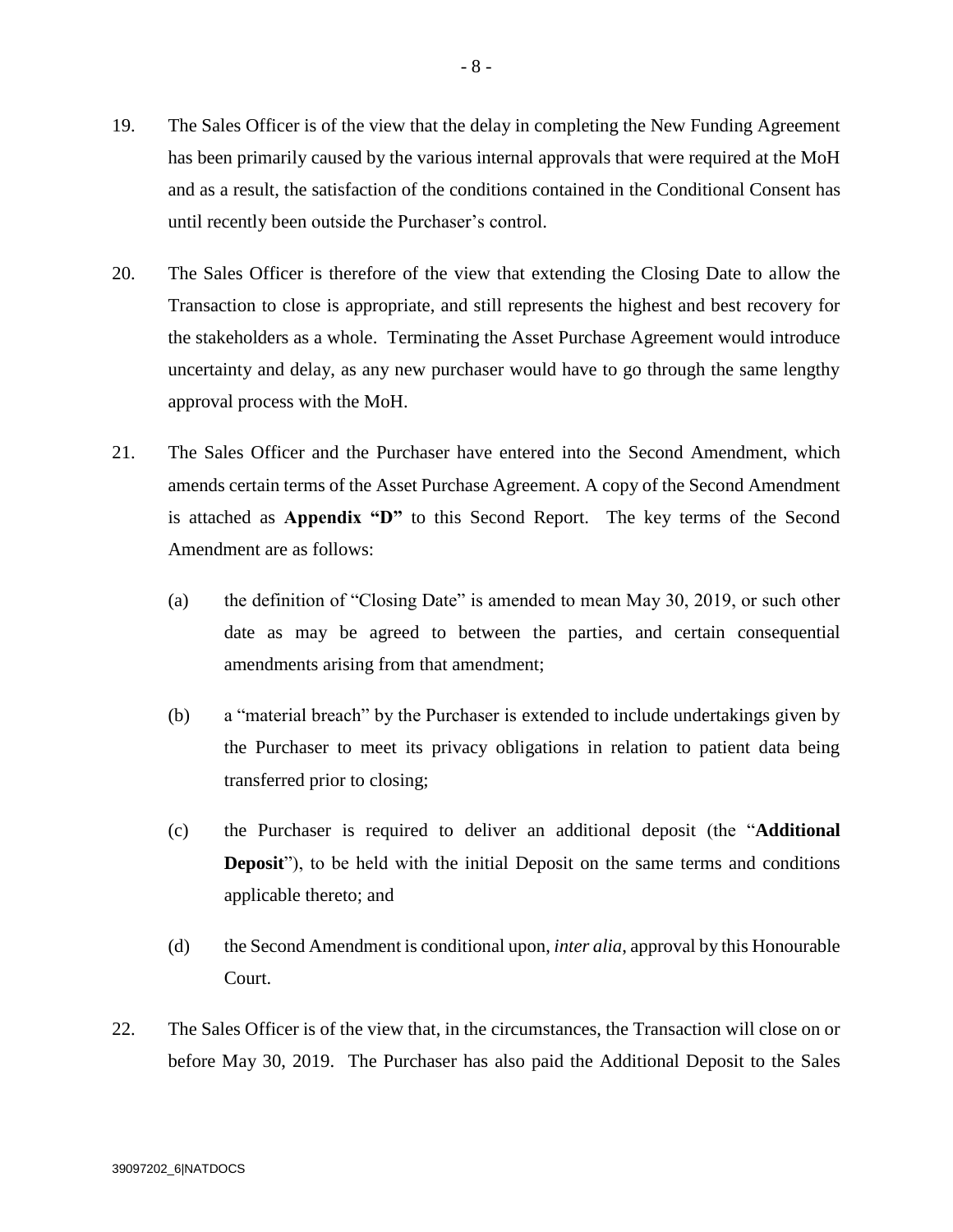- 19. The Sales Officer is of the view that the delay in completing the New Funding Agreement has been primarily caused by the various internal approvals that were required at the MoH and as a result, the satisfaction of the conditions contained in the Conditional Consent has until recently been outside the Purchaser's control.
- 20. The Sales Officer is therefore of the view that extending the Closing Date to allow the Transaction to close is appropriate, and still represents the highest and best recovery for the stakeholders as a whole. Terminating the Asset Purchase Agreement would introduce uncertainty and delay, as any new purchaser would have to go through the same lengthy approval process with the MoH.
- 21. The Sales Officer and the Purchaser have entered into the Second Amendment, which amends certain terms of the Asset Purchase Agreement. A copy of the Second Amendment is attached as **Appendix "D"** to this Second Report. The key terms of the Second Amendment are as follows:
	- (a) the definition of "Closing Date" is amended to mean May 30, 2019, or such other date as may be agreed to between the parties, and certain consequential amendments arising from that amendment;
	- (b) a "material breach" by the Purchaser is extended to include undertakings given by the Purchaser to meet its privacy obligations in relation to patient data being transferred prior to closing;
	- (c) the Purchaser is required to deliver an additional deposit (the "**Additional Deposit**"), to be held with the initial Deposit on the same terms and conditions applicable thereto; and
	- (d) the Second Amendment is conditional upon, *inter alia*, approval by this Honourable Court.
- 22. The Sales Officer is of the view that, in the circumstances, the Transaction will close on or before May 30, 2019. The Purchaser has also paid the Additional Deposit to the Sales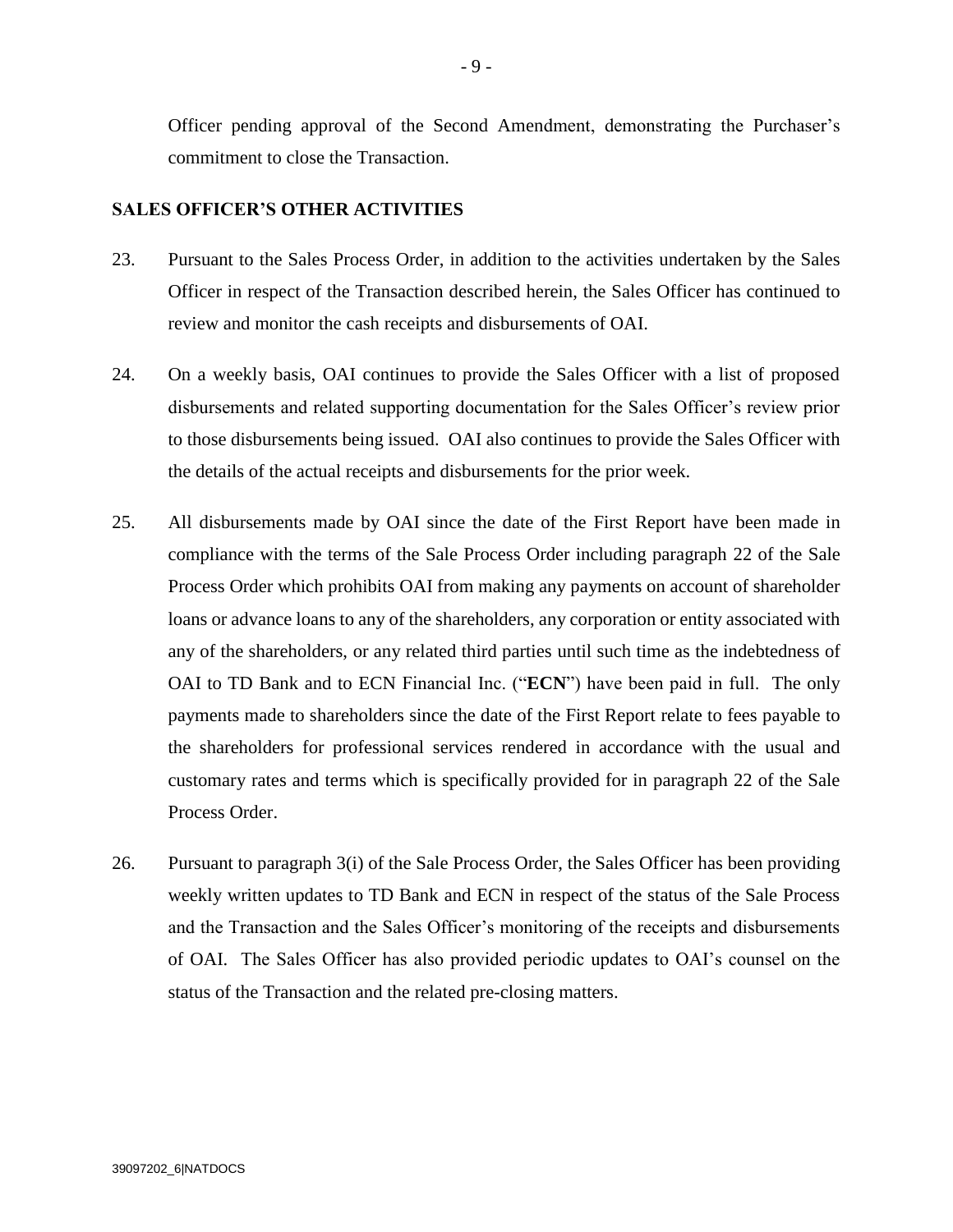Officer pending approval of the Second Amendment, demonstrating the Purchaser's commitment to close the Transaction.

### **SALES OFFICER'S OTHER ACTIVITIES**

- 23. Pursuant to the Sales Process Order, in addition to the activities undertaken by the Sales Officer in respect of the Transaction described herein, the Sales Officer has continued to review and monitor the cash receipts and disbursements of OAI.
- 24. On a weekly basis, OAI continues to provide the Sales Officer with a list of proposed disbursements and related supporting documentation for the Sales Officer's review prior to those disbursements being issued. OAI also continues to provide the Sales Officer with the details of the actual receipts and disbursements for the prior week.
- 25. All disbursements made by OAI since the date of the First Report have been made in compliance with the terms of the Sale Process Order including paragraph 22 of the Sale Process Order which prohibits OAI from making any payments on account of shareholder loans or advance loans to any of the shareholders, any corporation or entity associated with any of the shareholders, or any related third parties until such time as the indebtedness of OAI to TD Bank and to ECN Financial Inc. ("**ECN**") have been paid in full. The only payments made to shareholders since the date of the First Report relate to fees payable to the shareholders for professional services rendered in accordance with the usual and customary rates and terms which is specifically provided for in paragraph 22 of the Sale Process Order.
- 26. Pursuant to paragraph 3(i) of the Sale Process Order, the Sales Officer has been providing weekly written updates to TD Bank and ECN in respect of the status of the Sale Process and the Transaction and the Sales Officer's monitoring of the receipts and disbursements of OAI. The Sales Officer has also provided periodic updates to OAI's counsel on the status of the Transaction and the related pre-closing matters.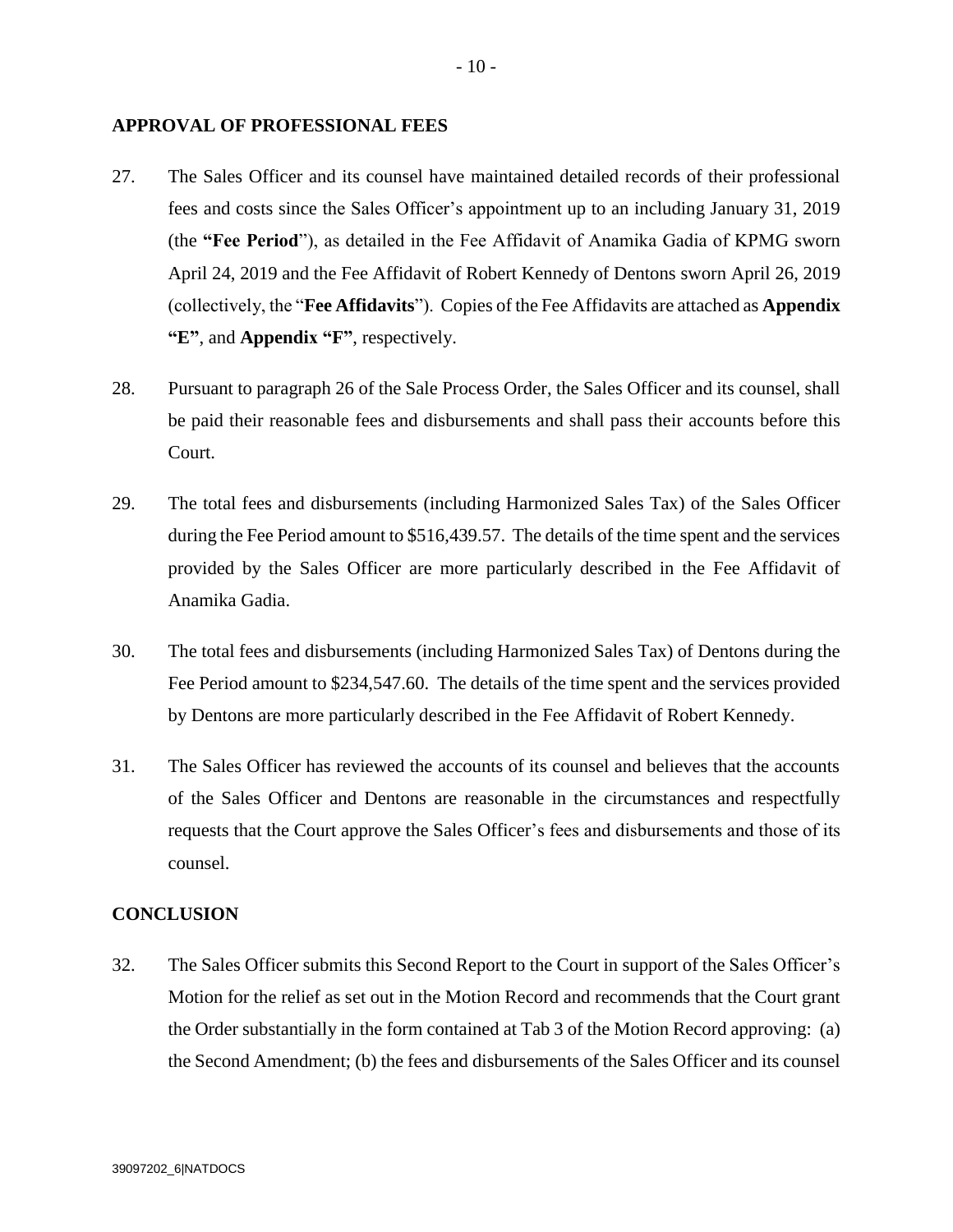#### **APPROVAL OF PROFESSIONAL FEES**

- 27. The Sales Officer and its counsel have maintained detailed records of their professional fees and costs since the Sales Officer's appointment up to an including January 31, 2019 (the **"Fee Period**"), as detailed in the Fee Affidavit of Anamika Gadia of KPMG sworn April 24, 2019 and the Fee Affidavit of Robert Kennedy of Dentons sworn April 26, 2019 (collectively, the "**Fee Affidavits**"). Copies of the Fee Affidavits are attached as **Appendix "E"**, and **Appendix "F"**, respectively.
- 28. Pursuant to paragraph 26 of the Sale Process Order, the Sales Officer and its counsel, shall be paid their reasonable fees and disbursements and shall pass their accounts before this Court.
- 29. The total fees and disbursements (including Harmonized Sales Tax) of the Sales Officer during the Fee Period amount to \$516,439.57. The details of the time spent and the services provided by the Sales Officer are more particularly described in the Fee Affidavit of Anamika Gadia.
- 30. The total fees and disbursements (including Harmonized Sales Tax) of Dentons during the Fee Period amount to \$234,547.60. The details of the time spent and the services provided by Dentons are more particularly described in the Fee Affidavit of Robert Kennedy.
- 31. The Sales Officer has reviewed the accounts of its counsel and believes that the accounts of the Sales Officer and Dentons are reasonable in the circumstances and respectfully requests that the Court approve the Sales Officer's fees and disbursements and those of its counsel.

### **CONCLUSION**

32. The Sales Officer submits this Second Report to the Court in support of the Sales Officer's Motion for the relief as set out in the Motion Record and recommends that the Court grant the Order substantially in the form contained at Tab 3 of the Motion Record approving: (a) the Second Amendment; (b) the fees and disbursements of the Sales Officer and its counsel